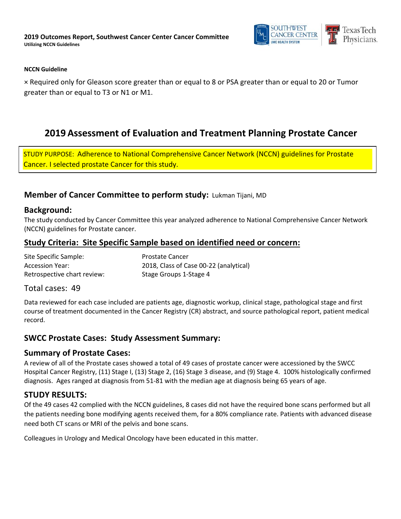

#### **NCCN Guideline**

× Required only for Gleason score greater than or equal to 8 or PSA greater than or equal to 20 or Tumor greater than or equal to T3 or N1 or M1.

# **2019 Assessment of Evaluation and Treatment Planning Prostate Cancer**

STUDY PURPOSE: Adherence to National Comprehensive Cancer Network (NCCN) guidelines for Prostate Cancer. I selected prostate Cancer for this study.

## **Member of Cancer Committee to perform study:** Lukman Tijani, MD

#### **Background:**

The study conducted by Cancer Committee this year analyzed adherence to National Comprehensive Cancer Network (NCCN) guidelines for Prostate cancer.

## **Study Criteria: Site Specific Sample based on identified need or concern:**

| Site Specific Sample:       | <b>Prostate Cancer</b>                 |
|-----------------------------|----------------------------------------|
| Accession Year:             | 2018, Class of Case 00-22 (analytical) |
| Retrospective chart review: | Stage Groups 1-Stage 4                 |

#### Total cases: 49

Data reviewed for each case included are patients age, diagnostic workup, clinical stage, pathological stage and first course of treatment documented in the Cancer Registry (CR) abstract, and source pathological report, patient medical record.

## **SWCC Prostate Cases: Study Assessment Summary:**

#### **Summary of Prostate Cases:**

A review of all of the Prostate cases showed a total of 49 cases of prostate cancer were accessioned by the SWCC Hospital Cancer Registry, (11) Stage I, (13) Stage 2, (16) Stage 3 disease, and (9) Stage 4. 100% histologically confirmed diagnosis. Ages ranged at diagnosis from 51-81 with the median age at diagnosis being 65 years of age.

## **STUDY RESULTS:**

Of the 49 cases 42 complied with the NCCN guidelines, 8 cases did not have the required bone scans performed but all the patients needing bone modifying agents received them, for a 80% compliance rate. Patients with advanced disease need both CT scans or MRI of the pelvis and bone scans.

Colleagues in Urology and Medical Oncology have been educated in this matter.